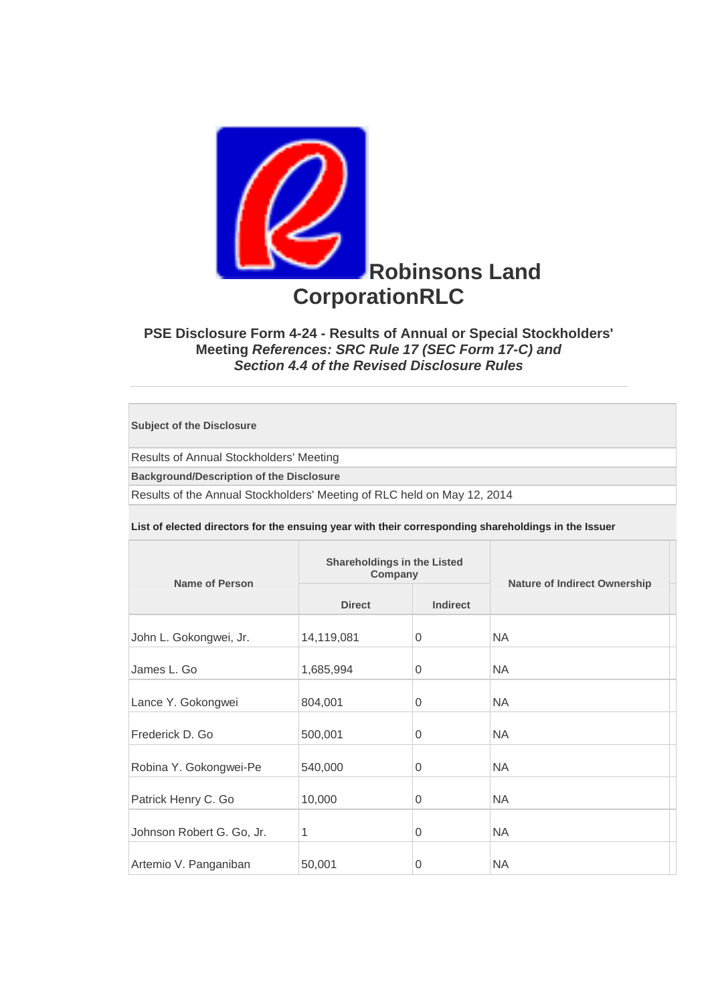

## **PSE Disclosure Form 4-24 - Results of Annual or Special Stockholders' Meeting** *References: SRC Rule 17 (SEC Form 17-C) and Section 4.4 of the Revised Disclosure Rules*

**Subject of the Disclosure** 

Results of Annual Stockholders' Meeting

**Background/Description of the Disclosure**

Results of the Annual Stockholders' Meeting of RLC held on May 12, 2014

**List of elected directors for the ensuing year with their corresponding shareholdings in the Issuer** 

| <b>Name of Person</b>     | <b>Shareholdings in the Listed</b><br>Company |                 |                                     |  |
|---------------------------|-----------------------------------------------|-----------------|-------------------------------------|--|
|                           | <b>Direct</b>                                 | <b>Indirect</b> | <b>Nature of Indirect Ownership</b> |  |
| John L. Gokongwei, Jr.    | 14,119,081                                    | $\overline{0}$  | <b>NA</b>                           |  |
| James L. Go               | 1,685,994                                     | 0               | <b>NA</b>                           |  |
| Lance Y. Gokongwei        | 804,001                                       | $\Omega$        | <b>NA</b>                           |  |
| Frederick D. Go           | 500,001                                       | $\Omega$        | <b>NA</b>                           |  |
| Robina Y. Gokongwei-Pe    | 540,000                                       | $\Omega$        | <b>NA</b>                           |  |
| Patrick Henry C. Go       | 10,000                                        | $\Omega$        | <b>NA</b>                           |  |
| Johnson Robert G. Go, Jr. | 1                                             | $\Omega$        | <b>NA</b>                           |  |
| Artemio V. Panganiban     | 50,001                                        | 0               | <b>NA</b>                           |  |